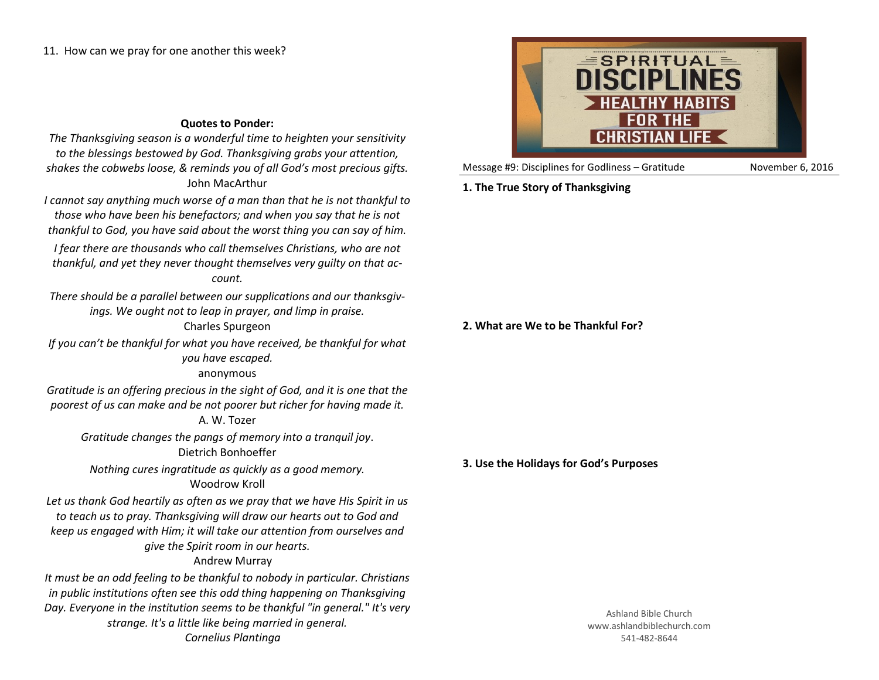# **Quotes to Ponder:**

*The Thanksgiving season is a wonderful time to heighten your sensitivity to the blessings bestowed by God. Thanksgiving grabs your attention, shakes the cobwebs loose, & reminds you of all God's most precious gifts.* John MacArthur

*I cannot say anything much worse of a man than that he is not thankful to those who have been his benefactors; and when you say that he is not thankful to God, you have said about the worst thing you can say of him.*

*I fear there are thousands who call themselves Christians, who are not thankful, and yet they never thought themselves very guilty on that account.*

*There should be a parallel between our supplications and our thanksgivings. We ought not to leap in prayer, and limp in praise.*

## Charles Spurgeon

*If you can't be thankful for what you have received, be thankful for what you have escaped.*

anonymous

*Gratitude is an offering precious in the sight of God, and it is one that the poorest of us can make and be not poorer but richer for having made it.*

#### A. W. Tozer

*Gratitude changes the pangs of memory into a tranquil joy*. Dietrich Bonhoeffer

*Nothing cures ingratitude as quickly as a good memory.* Woodrow Kroll

*Let us thank God heartily as often as we pray that we have His Spirit in us to teach us to pray. Thanksgiving will draw our hearts out to God and keep us engaged with Him; it will take our attention from ourselves and give the Spirit room in our hearts.*

## Andrew Murray

*It must be an odd feeling to be thankful to nobody in particular. Christians in public institutions often see this odd thing happening on Thanksgiving Day. Everyone in the institution seems to be thankful "in general." It's very strange. It's a little like being married in general. Cornelius Plantinga*



Message #9: Disciplines for Godliness – Gratitude November 6, 2016

# **1. The True Story of Thanksgiving**

### **2. What are We to be Thankful For?**

**3. Use the Holidays for God's Purposes**

Ashland Bible Church www.ashlandbiblechurch.com 541-482-8644